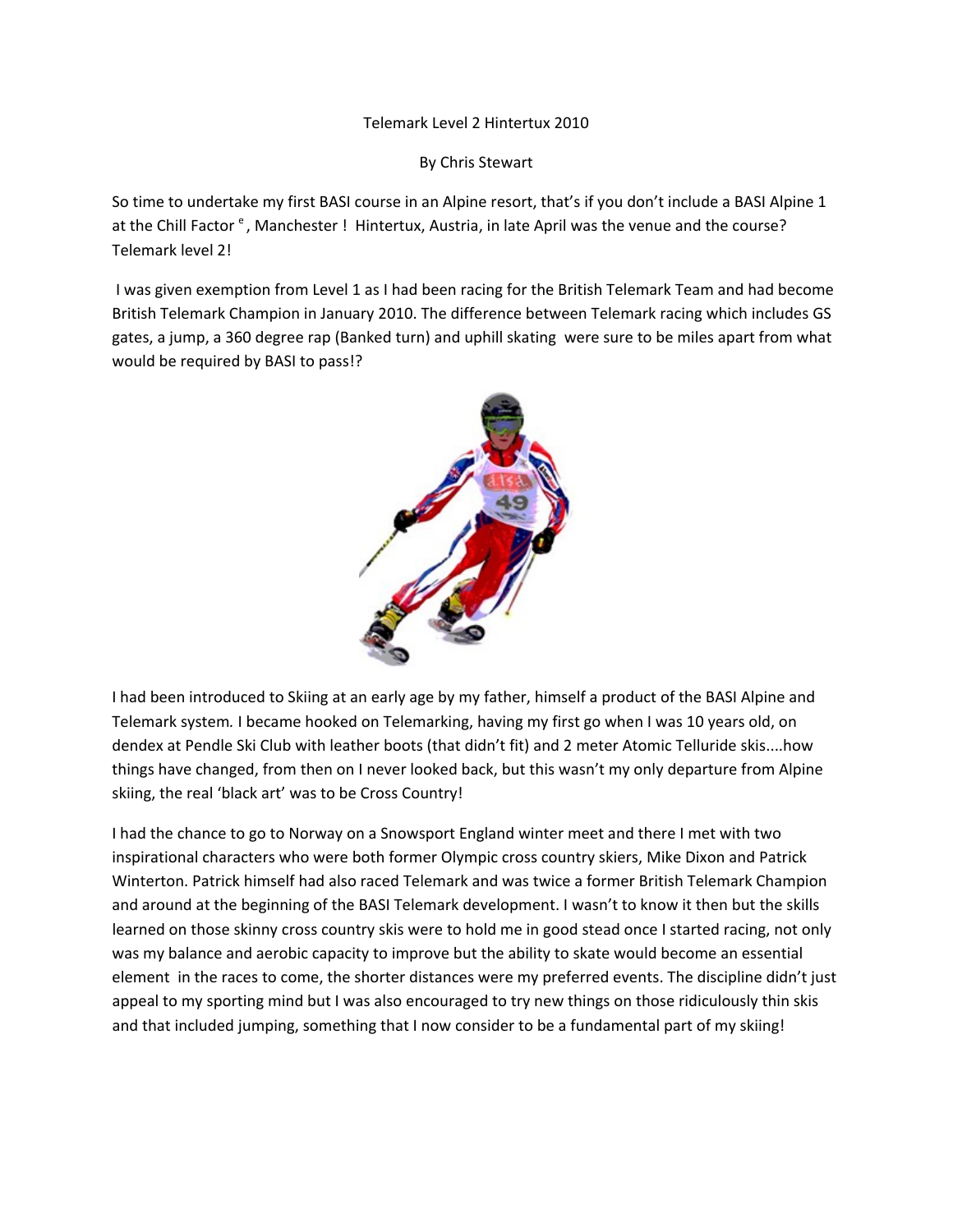## Telemark Level 2 Hintertux 2010

By Chris Stewart

So time to undertake my first BASI course in an Alpine resort, that's if you don't include a BASI Alpine 1 at the Chill Factor <sup>e</sup>, Manchester ! Hintertux, Austria, in late April was the venue and the course? Telemark level 2!

I was given exemption from Level 1 as I had been racing for the British Telemark Team and had become British Telemark Champion in January 2010. The difference between Telemark racing which includes GS gates, a jump, a 360 degree rap (Banked turn) and uphill skating were sure to be miles apart from what would be required by BASI to pass!?



I had been introduced to Skiing at an early age by my father, himself a product of the BASI Alpine and Telemark system*.* I became hooked on Telemarking, having my first go when I was 10 years old, on dendex at Pendle Ski Club with leather boots (that didn't fit) and 2 meter Atomic Telluride skis....how things have changed, from then on I never looked back, but this wasn't my only departure from Alpine skiing, the real 'black art' was to be Cross Country!

I had the chance to go to Norway on a Snowsport England winter meet and there I met with two inspirational characters who were both former Olympic cross country skiers, Mike Dixon and Patrick Winterton. Patrick himself had also raced Telemark and was twice a former British Telemark Champion and around at the beginning of the BASI Telemark development. I wasn't to know it then but the skills learned on those skinny cross country skis were to hold me in good stead once I started racing, not only was my balance and aerobic capacity to improve but the ability to skate would become an essential element in the races to come, the shorter distances were my preferred events. The discipline didn't just appeal to my sporting mind but I was also encouraged to try new things on those ridiculously thin skis and that included jumping, something that I now consider to be a fundamental part of my skiing!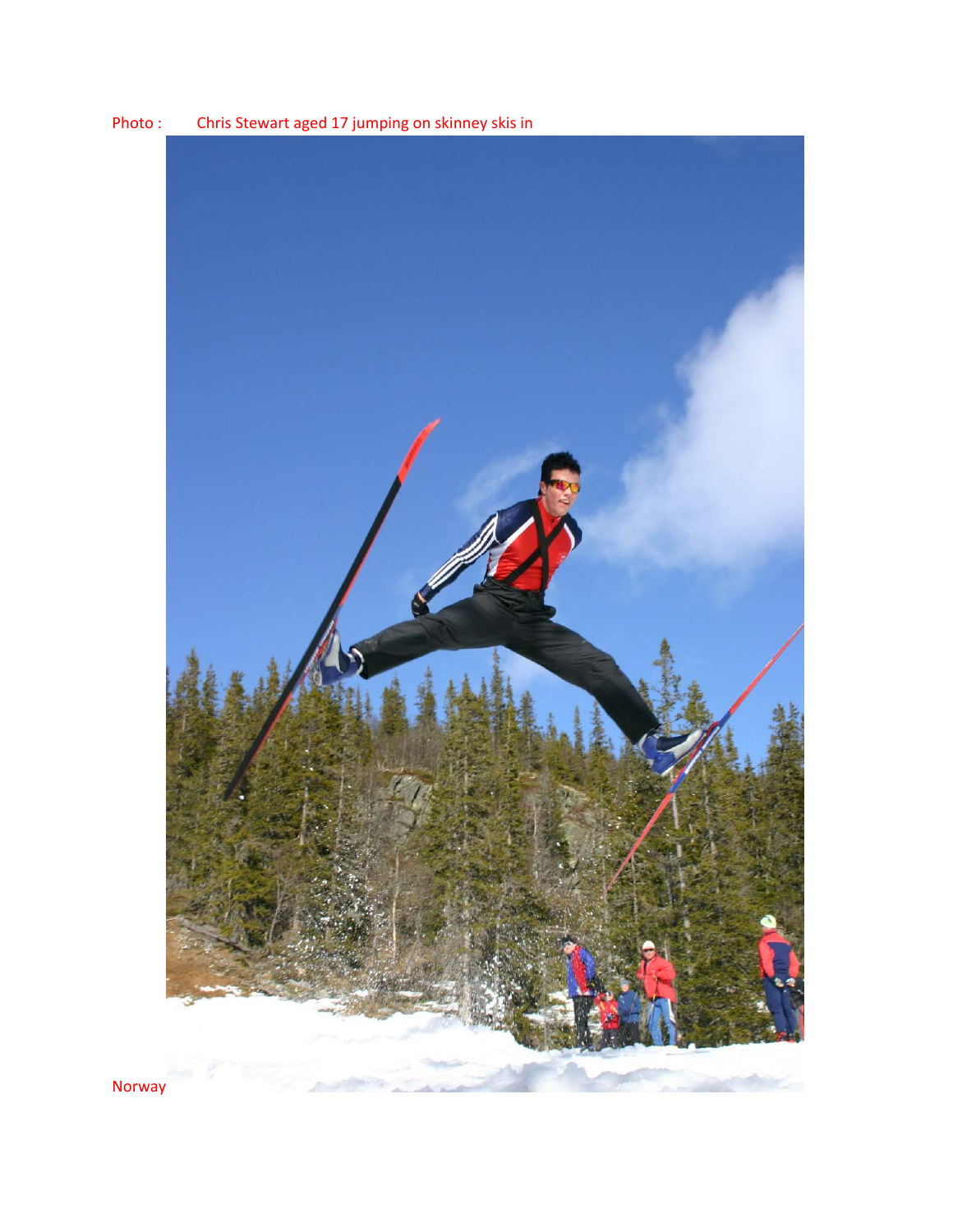

Photo : Chris Stewart aged 17 jumping on skinney skis in

Norway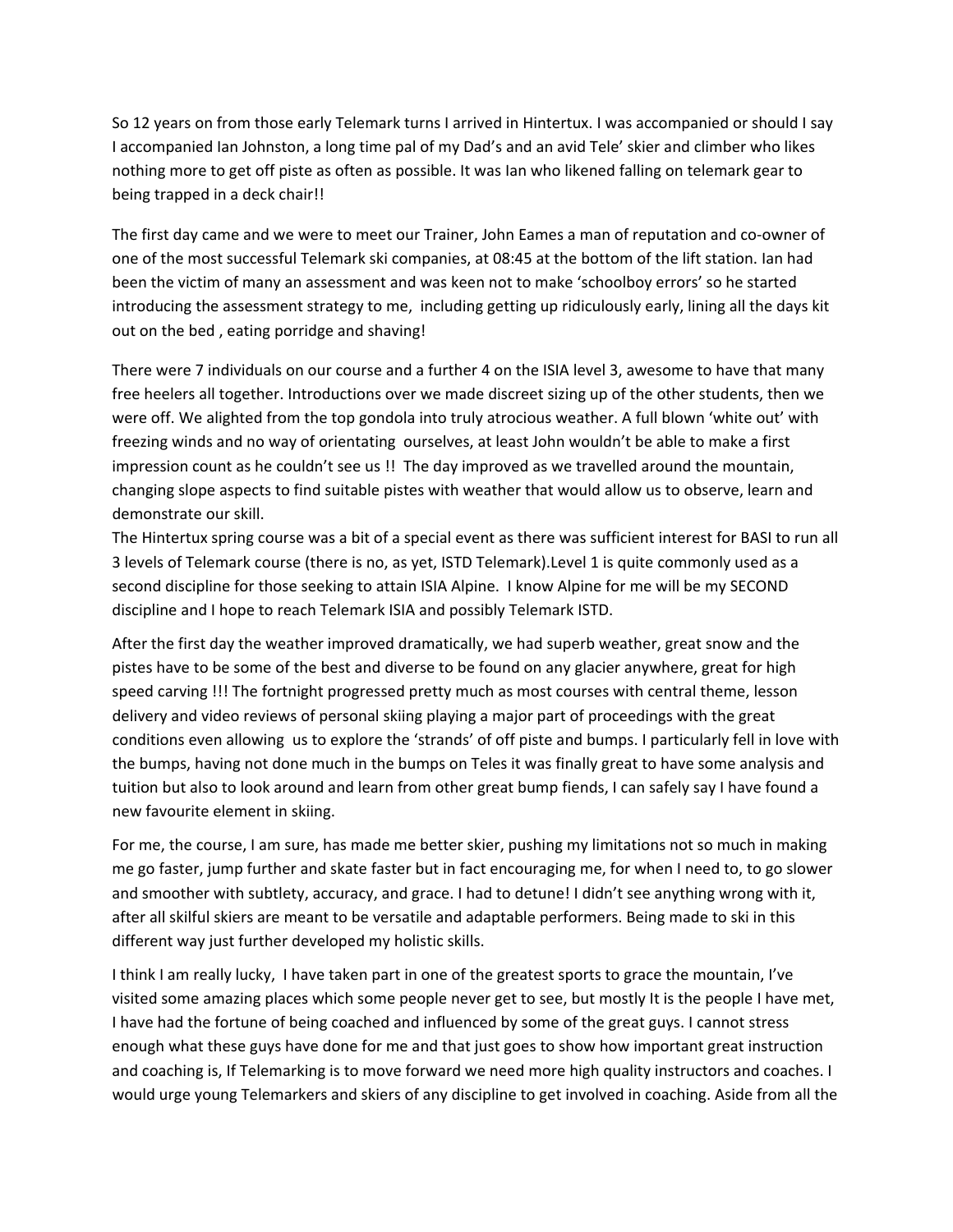So 12 years on from those early Telemark turns I arrived in Hintertux. I was accompanied or should I say I accompanied Ian Johnston, a long time pal of my Dad's and an avid Tele' skier and climber who likes nothing more to get off piste as often as possible. It was Ian who likened falling on telemark gear to being trapped in a deck chair!!

The first day came and we were to meet our Trainer, John Eames a man of reputation and co‐owner of one of the most successful Telemark ski companies, at 08:45 at the bottom of the lift station. Ian had been the victim of many an assessment and was keen not to make 'schoolboy errors' so he started introducing the assessment strategy to me, including getting up ridiculously early, lining all the days kit out on the bed , eating porridge and shaving!

There were 7 individuals on our course and a further 4 on the ISIA level 3, awesome to have that many free heelers all together. Introductions over we made discreet sizing up of the other students, then we were off. We alighted from the top gondola into truly atrocious weather. A full blown 'white out' with freezing winds and no way of orientating ourselves, at least John wouldn't be able to make a first impression count as he couldn't see us !! The day improved as we travelled around the mountain, changing slope aspects to find suitable pistes with weather that would allow us to observe, learn and demonstrate our skill.

The Hintertux spring course was a bit of a special event as there was sufficient interest for BASI to run all 3 levels of Telemark course (there is no, as yet, ISTD Telemark).Level 1 is quite commonly used as a second discipline for those seeking to attain ISIA Alpine. I know Alpine for me will be my SECOND discipline and I hope to reach Telemark ISIA and possibly Telemark ISTD.

After the first day the weather improved dramatically, we had superb weather, great snow and the pistes have to be some of the best and diverse to be found on any glacier anywhere, great for high speed carving !!! The fortnight progressed pretty much as most courses with central theme, lesson delivery and video reviews of personal skiing playing a major part of proceedings with the great conditions even allowing us to explore the 'strands' of off piste and bumps. I particularly fell in love with the bumps, having not done much in the bumps on Teles it was finally great to have some analysis and tuition but also to look around and learn from other great bump fiends, I can safely say I have found a new favourite element in skiing.

For me, the course, I am sure, has made me better skier, pushing my limitations not so much in making me go faster, jump further and skate faster but in fact encouraging me, for when I need to, to go slower and smoother with subtlety, accuracy, and grace. I had to detune! I didn't see anything wrong with it, after all skilful skiers are meant to be versatile and adaptable performers. Being made to ski in this different way just further developed my holistic skills.

I think I am really lucky, I have taken part in one of the greatest sports to grace the mountain, I've visited some amazing places which some people never get to see, but mostly It is the people I have met, I have had the fortune of being coached and influenced by some of the great guys. I cannot stress enough what these guys have done for me and that just goes to show how important great instruction and coaching is, If Telemarking is to move forward we need more high quality instructors and coaches. I would urge young Telemarkers and skiers of any discipline to get involved in coaching. Aside from all the